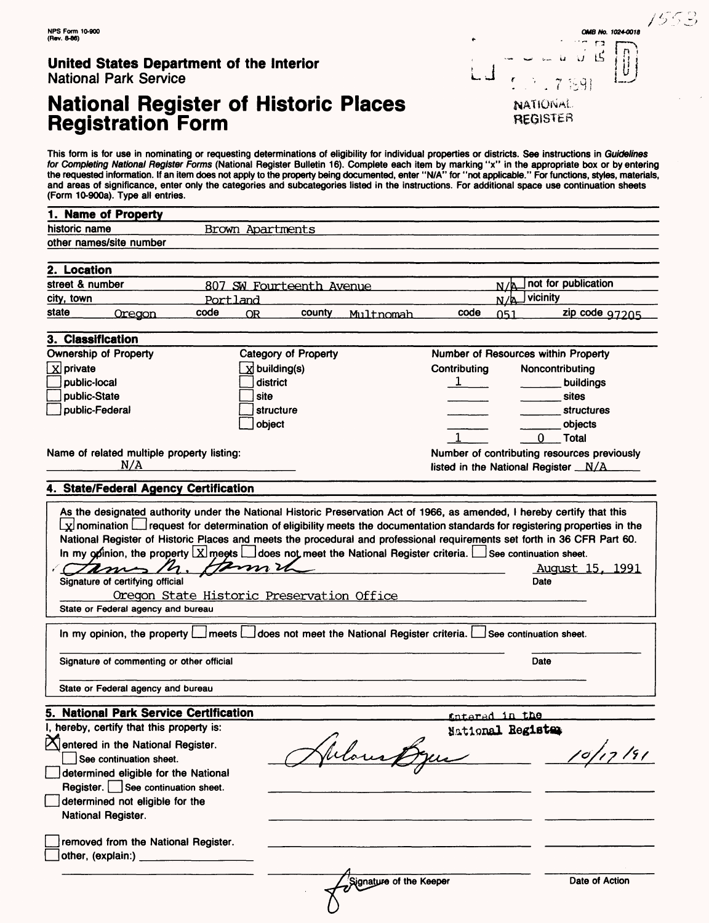# **National Register of Historic Places Registration Form**

This form is for use in nominating or requesting determinations of eligibility for individual properties or districts. See instructions in Guidelines for Completing National Register Forms (National Register Bulletin 16). Complete each item by marking "x" in the appropriate box or by entering the requested information. If an item does not apply to the property being documented, enter "N/A" for "not applicable." For functions, styles, materials, and areas of significance, enter only the categories and subcategories listed in the instructions. For additional space use continuation sheets

| 1. Name of Property<br>historic name<br>Brown Apartments<br>other names/site number<br>2. Location<br>not for publication<br>street & number<br>807 SW Fourteenth Avenue<br>N/R<br>vicinity<br>city, town<br>$N/\mathbb{P}$<br>Portland<br>state<br>code<br>county<br>code<br>051<br>Oregon<br>OR.<br>Multnomah<br>3. Classification<br><b>Ownership of Property</b><br>Category of Property<br>Number of Resources within Property<br>$X$ private<br><b>x</b> building(s)<br>Contributing<br>Noncontributing<br>public-local<br>district<br>$1 \quad \qquad$<br>buildings<br>public-State<br>site<br>sites<br>public-Federal<br>structure<br><b>structures</b><br>object<br>objects<br><b>Total</b><br>0<br>Name of related multiple property listing:<br>N/A<br>4. State/Federal Agency Certification<br>As the designated authority under the National Historic Preservation Act of 1966, as amended, I hereby certify that this<br>$\lfloor x \rfloor$ nomination $\lfloor$ request for determination of eligibility meets the documentation standards for registering properties in the<br>National Register of Historic Places and meets the procedural and professional requirements set forth in 36 CFR Part 60.<br>In my opinion, the property $\lfloor \frac{1}{2} \rfloor$ meets $\lfloor \frac{1}{2} \rfloor$ does not meet the National Register criteria. See continuation sheet.<br>Tames M.<br>$\boldsymbol{\mathcal{I}}$ m $\boldsymbol{\mathcal{V}}$<br>Signature of certifying official<br>Date<br>Oregon State Historic Preservation Office<br>State or Federal agency and bureau<br>In my opinion, the property   meets   does not meet the National Register criteria.   See continuation sheet.<br>Signature of commenting or other official<br>Date<br>State or Federal agency and bureau<br>5. National Park Service Certification<br>thtered in the | (Form 10-900a). Type all entries. |  |                                             |  |                        |
|-------------------------------------------------------------------------------------------------------------------------------------------------------------------------------------------------------------------------------------------------------------------------------------------------------------------------------------------------------------------------------------------------------------------------------------------------------------------------------------------------------------------------------------------------------------------------------------------------------------------------------------------------------------------------------------------------------------------------------------------------------------------------------------------------------------------------------------------------------------------------------------------------------------------------------------------------------------------------------------------------------------------------------------------------------------------------------------------------------------------------------------------------------------------------------------------------------------------------------------------------------------------------------------------------------------------------------------------------------------------------------------------------------------------------------------------------------------------------------------------------------------------------------------------------------------------------------------------------------------------------------------------------------------------------------------------------------------------------------------------------------------------------------------------------------------------------------------------------------------------------------|-----------------------------------|--|---------------------------------------------|--|------------------------|
|                                                                                                                                                                                                                                                                                                                                                                                                                                                                                                                                                                                                                                                                                                                                                                                                                                                                                                                                                                                                                                                                                                                                                                                                                                                                                                                                                                                                                                                                                                                                                                                                                                                                                                                                                                                                                                                                               |                                   |  |                                             |  |                        |
|                                                                                                                                                                                                                                                                                                                                                                                                                                                                                                                                                                                                                                                                                                                                                                                                                                                                                                                                                                                                                                                                                                                                                                                                                                                                                                                                                                                                                                                                                                                                                                                                                                                                                                                                                                                                                                                                               |                                   |  |                                             |  |                        |
|                                                                                                                                                                                                                                                                                                                                                                                                                                                                                                                                                                                                                                                                                                                                                                                                                                                                                                                                                                                                                                                                                                                                                                                                                                                                                                                                                                                                                                                                                                                                                                                                                                                                                                                                                                                                                                                                               |                                   |  |                                             |  |                        |
|                                                                                                                                                                                                                                                                                                                                                                                                                                                                                                                                                                                                                                                                                                                                                                                                                                                                                                                                                                                                                                                                                                                                                                                                                                                                                                                                                                                                                                                                                                                                                                                                                                                                                                                                                                                                                                                                               |                                   |  |                                             |  |                        |
|                                                                                                                                                                                                                                                                                                                                                                                                                                                                                                                                                                                                                                                                                                                                                                                                                                                                                                                                                                                                                                                                                                                                                                                                                                                                                                                                                                                                                                                                                                                                                                                                                                                                                                                                                                                                                                                                               |                                   |  |                                             |  |                        |
|                                                                                                                                                                                                                                                                                                                                                                                                                                                                                                                                                                                                                                                                                                                                                                                                                                                                                                                                                                                                                                                                                                                                                                                                                                                                                                                                                                                                                                                                                                                                                                                                                                                                                                                                                                                                                                                                               |                                   |  |                                             |  |                        |
|                                                                                                                                                                                                                                                                                                                                                                                                                                                                                                                                                                                                                                                                                                                                                                                                                                                                                                                                                                                                                                                                                                                                                                                                                                                                                                                                                                                                                                                                                                                                                                                                                                                                                                                                                                                                                                                                               |                                   |  |                                             |  | zip code 97205         |
|                                                                                                                                                                                                                                                                                                                                                                                                                                                                                                                                                                                                                                                                                                                                                                                                                                                                                                                                                                                                                                                                                                                                                                                                                                                                                                                                                                                                                                                                                                                                                                                                                                                                                                                                                                                                                                                                               |                                   |  |                                             |  |                        |
|                                                                                                                                                                                                                                                                                                                                                                                                                                                                                                                                                                                                                                                                                                                                                                                                                                                                                                                                                                                                                                                                                                                                                                                                                                                                                                                                                                                                                                                                                                                                                                                                                                                                                                                                                                                                                                                                               |                                   |  |                                             |  |                        |
|                                                                                                                                                                                                                                                                                                                                                                                                                                                                                                                                                                                                                                                                                                                                                                                                                                                                                                                                                                                                                                                                                                                                                                                                                                                                                                                                                                                                                                                                                                                                                                                                                                                                                                                                                                                                                                                                               |                                   |  |                                             |  |                        |
|                                                                                                                                                                                                                                                                                                                                                                                                                                                                                                                                                                                                                                                                                                                                                                                                                                                                                                                                                                                                                                                                                                                                                                                                                                                                                                                                                                                                                                                                                                                                                                                                                                                                                                                                                                                                                                                                               |                                   |  |                                             |  |                        |
|                                                                                                                                                                                                                                                                                                                                                                                                                                                                                                                                                                                                                                                                                                                                                                                                                                                                                                                                                                                                                                                                                                                                                                                                                                                                                                                                                                                                                                                                                                                                                                                                                                                                                                                                                                                                                                                                               |                                   |  |                                             |  |                        |
|                                                                                                                                                                                                                                                                                                                                                                                                                                                                                                                                                                                                                                                                                                                                                                                                                                                                                                                                                                                                                                                                                                                                                                                                                                                                                                                                                                                                                                                                                                                                                                                                                                                                                                                                                                                                                                                                               |                                   |  |                                             |  |                        |
|                                                                                                                                                                                                                                                                                                                                                                                                                                                                                                                                                                                                                                                                                                                                                                                                                                                                                                                                                                                                                                                                                                                                                                                                                                                                                                                                                                                                                                                                                                                                                                                                                                                                                                                                                                                                                                                                               |                                   |  |                                             |  |                        |
|                                                                                                                                                                                                                                                                                                                                                                                                                                                                                                                                                                                                                                                                                                                                                                                                                                                                                                                                                                                                                                                                                                                                                                                                                                                                                                                                                                                                                                                                                                                                                                                                                                                                                                                                                                                                                                                                               |                                   |  |                                             |  |                        |
|                                                                                                                                                                                                                                                                                                                                                                                                                                                                                                                                                                                                                                                                                                                                                                                                                                                                                                                                                                                                                                                                                                                                                                                                                                                                                                                                                                                                                                                                                                                                                                                                                                                                                                                                                                                                                                                                               |                                   |  | Number of contributing resources previously |  |                        |
|                                                                                                                                                                                                                                                                                                                                                                                                                                                                                                                                                                                                                                                                                                                                                                                                                                                                                                                                                                                                                                                                                                                                                                                                                                                                                                                                                                                                                                                                                                                                                                                                                                                                                                                                                                                                                                                                               |                                   |  | listed in the National Register _N/A_       |  |                        |
|                                                                                                                                                                                                                                                                                                                                                                                                                                                                                                                                                                                                                                                                                                                                                                                                                                                                                                                                                                                                                                                                                                                                                                                                                                                                                                                                                                                                                                                                                                                                                                                                                                                                                                                                                                                                                                                                               |                                   |  |                                             |  |                        |
|                                                                                                                                                                                                                                                                                                                                                                                                                                                                                                                                                                                                                                                                                                                                                                                                                                                                                                                                                                                                                                                                                                                                                                                                                                                                                                                                                                                                                                                                                                                                                                                                                                                                                                                                                                                                                                                                               |                                   |  |                                             |  | <u>August 15, 1991</u> |
|                                                                                                                                                                                                                                                                                                                                                                                                                                                                                                                                                                                                                                                                                                                                                                                                                                                                                                                                                                                                                                                                                                                                                                                                                                                                                                                                                                                                                                                                                                                                                                                                                                                                                                                                                                                                                                                                               |                                   |  |                                             |  |                        |
|                                                                                                                                                                                                                                                                                                                                                                                                                                                                                                                                                                                                                                                                                                                                                                                                                                                                                                                                                                                                                                                                                                                                                                                                                                                                                                                                                                                                                                                                                                                                                                                                                                                                                                                                                                                                                                                                               |                                   |  |                                             |  |                        |
|                                                                                                                                                                                                                                                                                                                                                                                                                                                                                                                                                                                                                                                                                                                                                                                                                                                                                                                                                                                                                                                                                                                                                                                                                                                                                                                                                                                                                                                                                                                                                                                                                                                                                                                                                                                                                                                                               |                                   |  |                                             |  |                        |
|                                                                                                                                                                                                                                                                                                                                                                                                                                                                                                                                                                                                                                                                                                                                                                                                                                                                                                                                                                                                                                                                                                                                                                                                                                                                                                                                                                                                                                                                                                                                                                                                                                                                                                                                                                                                                                                                               |                                   |  |                                             |  |                        |
|                                                                                                                                                                                                                                                                                                                                                                                                                                                                                                                                                                                                                                                                                                                                                                                                                                                                                                                                                                                                                                                                                                                                                                                                                                                                                                                                                                                                                                                                                                                                                                                                                                                                                                                                                                                                                                                                               |                                   |  |                                             |  |                        |
| I, hereby, certify that this property is:<br>National Register<br>$\mathcal{L}$                                                                                                                                                                                                                                                                                                                                                                                                                                                                                                                                                                                                                                                                                                                                                                                                                                                                                                                                                                                                                                                                                                                                                                                                                                                                                                                                                                                                                                                                                                                                                                                                                                                                                                                                                                                               |                                   |  |                                             |  |                        |

 $\mathsf J$  , ,

NAflGivint REGISTER **CMB No. 1024-0018** 

 $\begin{bmatrix} 1 & 1 & 15 \\ 1 & 1 & 11 \end{bmatrix}$ 

| Signature of commenting or other official                                                                                                                                                                                             | Date                                      |
|---------------------------------------------------------------------------------------------------------------------------------------------------------------------------------------------------------------------------------------|-------------------------------------------|
| State or Federal agency and bureau                                                                                                                                                                                                    |                                           |
| 5. National Park Service Certification                                                                                                                                                                                                | <u>fintarad in the</u>                    |
| I, hereby, certify that this property is:<br>$\mathbb X$ entered in the National Register.<br>See continuation sheet.<br>determined eligible for the National<br>Register. See continuation sheet.<br>determined not eligible for the | National Register<br>191                  |
| <b>National Register.</b><br>removed from the National Register.<br>other, (explain.)                                                                                                                                                 | Signature of the Keeper<br>Date of Action |

 $\mathcal{O}$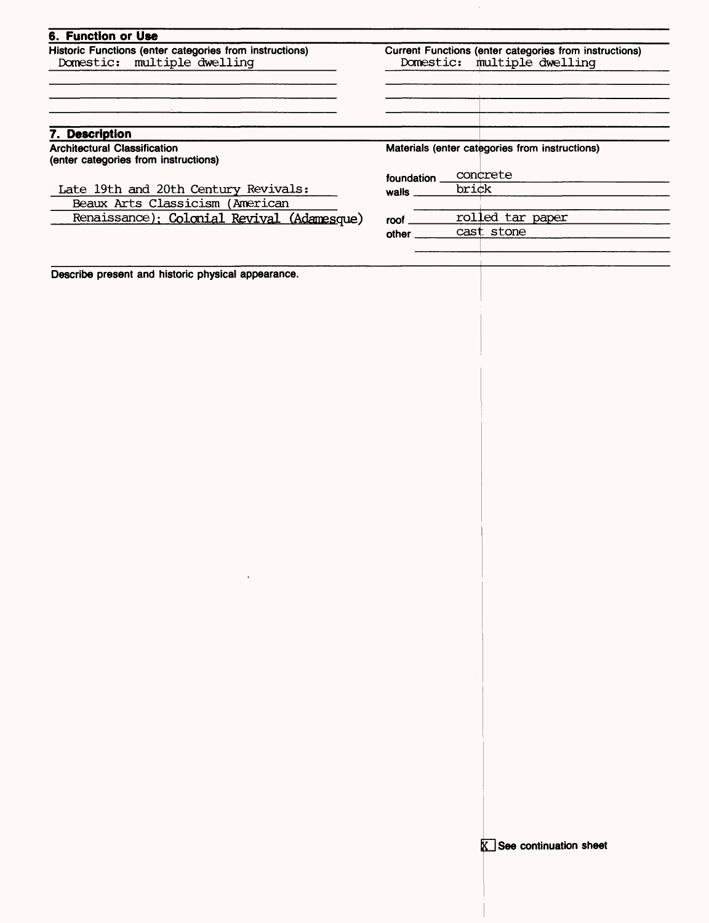| <b>6. Function or Use</b>                                                              |                                                                                          |                                                |  |  |
|----------------------------------------------------------------------------------------|------------------------------------------------------------------------------------------|------------------------------------------------|--|--|
| Historic Functions (enter categories from instructions)<br>Domestic: multiple dwelling | Current Functions (enter categories from instructions)<br>multiple dwelling<br>Domestic: |                                                |  |  |
|                                                                                        |                                                                                          |                                                |  |  |
|                                                                                        |                                                                                          |                                                |  |  |
| 7. Description                                                                         |                                                                                          |                                                |  |  |
| <b>Architectural Classification</b><br>(enter categories from instructions)            |                                                                                          | Materials (enter categories from instructions) |  |  |
|                                                                                        | foundation                                                                               | concrete                                       |  |  |
| Late 19th and 20th Century Revivals:                                                   | walls                                                                                    | brick                                          |  |  |
| Beaux Arts Classicism (American                                                        |                                                                                          |                                                |  |  |
| Renaissance); Colonial Revival (Adamesque)                                             | roof                                                                                     | rolled tar paper                               |  |  |
|                                                                                        | other                                                                                    | cast stone                                     |  |  |
|                                                                                        |                                                                                          |                                                |  |  |
|                                                                                        |                                                                                          |                                                |  |  |
| Describe present and historic physical appearance.                                     |                                                                                          |                                                |  |  |

 $\ddot{\phantom{a}}$ 

 $\bar{1}$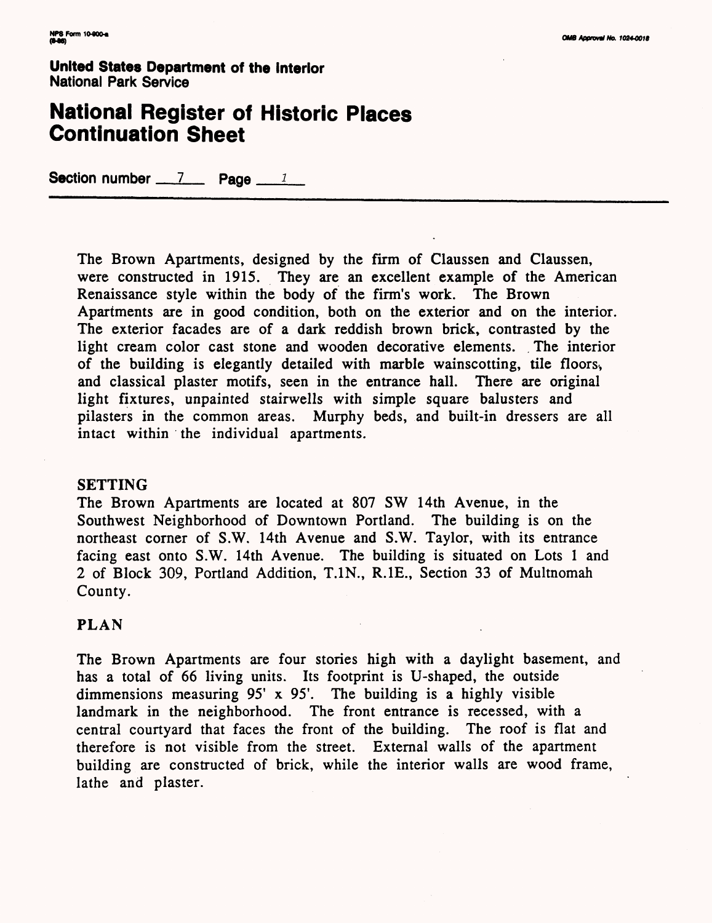## **National Register of Historic Places Continuation Sheet**

Section number  $\frac{7}{2}$  Page  $\frac{1}{2}$ 

The Brown Apartments, designed by the firm of Claussen and Claussen, were constructed in 1915. They are an excellent example of the American Renaissance style within the body of the firm's work. The Brown Apartments are in good condition, both on the exterior and on the interior. The exterior facades are of a dark reddish brown brick, contrasted by the light cream color cast stone and wooden decorative elements. The interior of the building is elegantly detailed with marble wainscotting, tile floors^ and classical plaster motifs, seen in the entrance hall. There are original light fixtures, unpainted stairwells with simple square balusters and pilasters in the common areas. Murphy beds, and built-in dressers are all intact within the individual apartments.

#### **SETTING**

The Brown Apartments are located at 807 SW 14th Avenue, in the Southwest Neighborhood of Downtown Portland. The building is on the northeast corner of S.W. 14th Avenue and S.W. Taylor, with its entrance facing east onto S.W. 14th Avenue. The building is situated on Lots 1 and 2 of Block 309, Portland Addition, T.1N., R.1E., Section 33 of Multnomah County.

### **PLAN**

The Brown Apartments are four stories high with a daylight basement, and has a total of 66 living units. Its footprint is U-shaped, the outside dimmensions measuring 95' x 95'. The building is a highly visible landmark in the neighborhood. The front entrance is recessed, with a central courtyard that faces the front of the building. The roof is flat and therefore is not visible from the street. External walls of the apartment building are constructed of brick, while the interior walls are wood frame, lathe and plaster.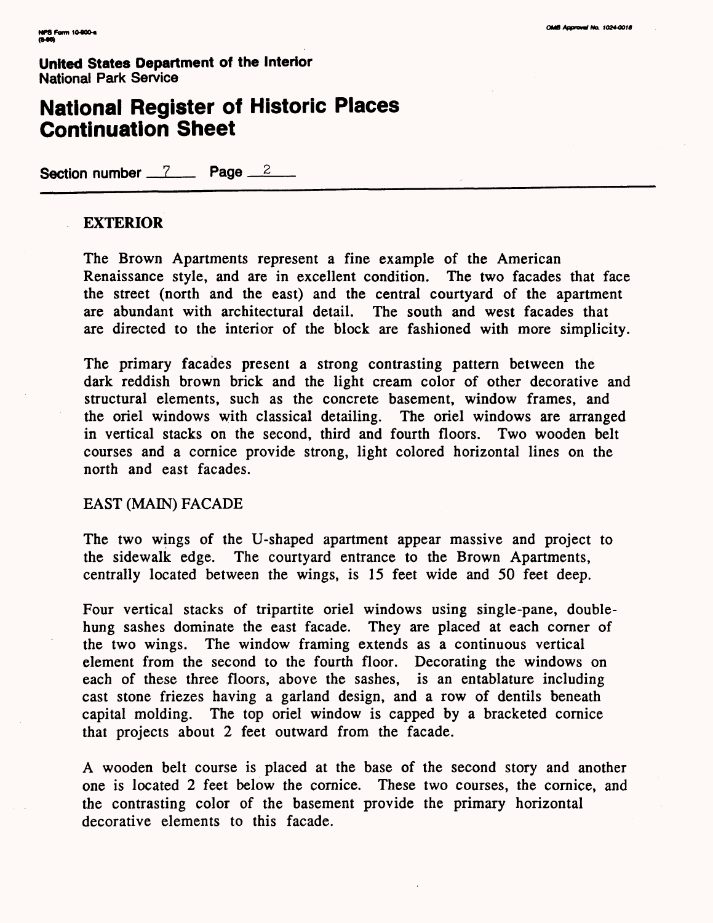## **National Register of Historic Places Continuation Sheet**

Section number 7 Page 2

#### **EXTERIOR**

The Brown Apartments represent a fine example of the American Renaissance style, and are in excellent condition. The two facades that face the street (north and the east) and the central courtyard of the apartment are abundant with architectural detail. The south and west facades that are directed to the interior of the block are fashioned with more simplicity.

The primary facades present a strong contrasting pattern between the dark reddish brown brick and the light cream color of other decorative and structural elements, such as the concrete basement, window frames, and the oriel windows with classical detailing. The oriel windows are arranged in vertical stacks on the second, third and fourth floors. Two wooden belt courses and a cornice provide strong, light colored horizontal lines on the north and east facades.

#### EAST (MAIN) FACADE

The two wings of the U-shaped apartment appear massive and project to the sidewalk edge. The courtyard entrance to the Brown Apartments, centrally located between the wings, is 15 feet wide and 50 feet deep.

Four vertical stacks of tripartite oriel windows using single-pane, doublehung sashes dominate the east facade. They are placed at each corner of the two wings. The window framing extends as a continuous vertical element from the second to the fourth floor. Decorating the windows on each of these three floors, above the sashes, is an entablature including cast stone friezes having a garland design, and a row of dentils beneath capital molding. The top oriel window is capped by a bracketed cornice that projects about 2 feet outward from the facade.

A wooden belt course is placed at the base of the second story and another one is located 2 feet below the cornice. These two courses, the cornice, and the contrasting color of the basement provide the primary horizontal decorative elements to this facade.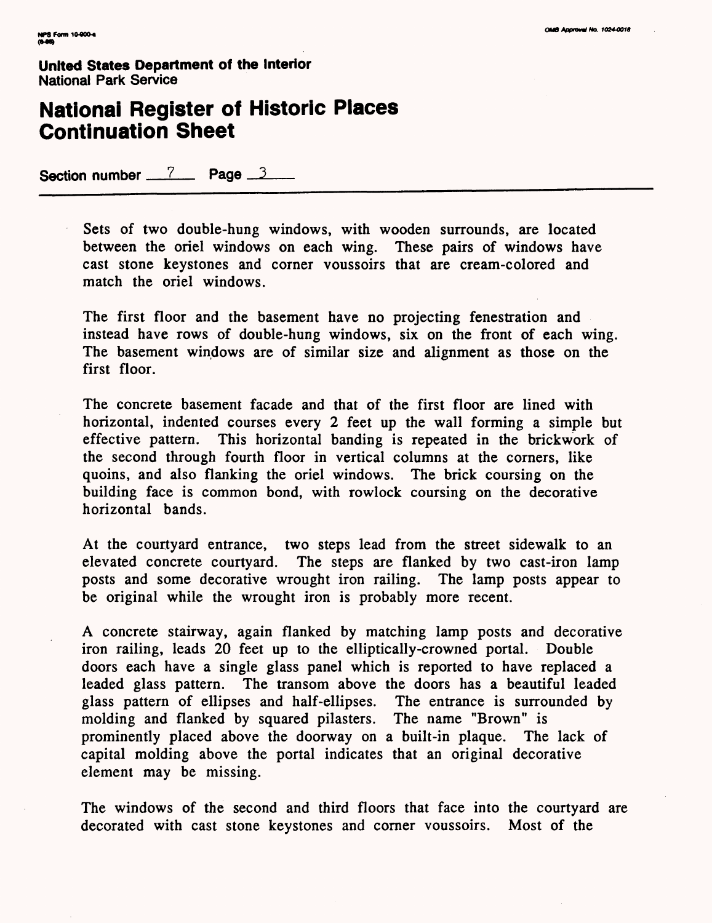## **National Register of Historic Places Continuation Sheet**

Section number 7 Page 3

Sets of two double-hung windows, with wooden surrounds, are located between the oriel windows on each wing. These pairs of windows have cast stone keystones and corner voussoirs that are cream-colored and match the oriel windows.

The first floor and the basement have no projecting fenestration and instead have rows of double-hung windows, six on the front of each wing. The basement windows are of similar size and alignment as those on the first floor.

The concrete basement facade and that of the first floor are lined with horizontal, indented courses every 2 feet up the wall forming a simple but effective pattern. This horizontal banding is repeated in the brickwork of the second through fourth floor in vertical columns at the corners, like quoins, and also flanking the oriel windows. The brick coursing on the building face is common bond, with rowlock coursing on the decorative horizontal bands.

At the courtyard entrance, two steps lead from the street sidewalk to an elevated concrete courtyard. The steps are flanked by two cast-iron lamp posts and some decorative wrought iron railing. The lamp posts appear to be original while the wrought iron is probably more recent.

A concrete stairway, again flanked by matching lamp posts and decorative iron railing, leads 20 feet up to the elliptically-crowned portal. Double doors each have a single glass panel which is reported to have replaced a leaded glass pattern. The transom above the doors has a beautiful leaded glass pattern of ellipses and half-ellipses. The entrance is surrounded by molding and flanked by squared pilasters. The name "Brown" is prominently placed above the doorway on a built-in plaque. The lack of capital molding above the portal indicates that an original decorative element may be missing.

The windows of the second and third floors that face into the courtyard are decorated with cast stone keystones and corner voussoirs. Most of the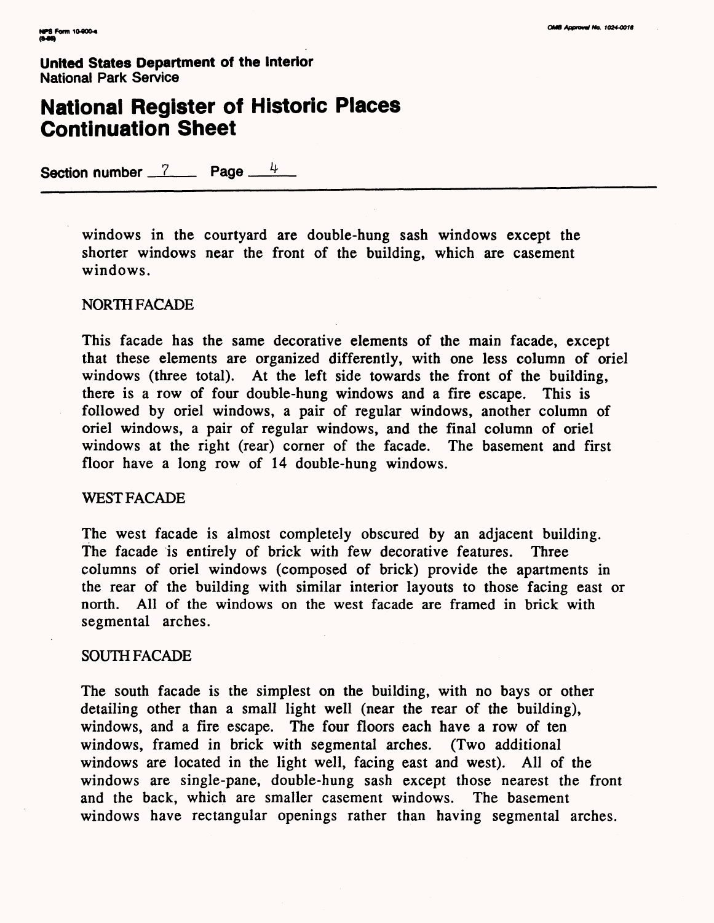# **National Register of Historic Places Continuation Sheet**

Section number 7 Page  $4$ 

windows in the courtyard are double-hung sash windows except the shorter windows near the front of the building, which are casement windows.

#### NORTH FACADE

This facade has the same decorative elements of the main facade, except that these elements are organized differently, with one less column of oriel windows (three total). At the left side towards the front of the building, there is a row of four double-hung windows and a fire escape. This is followed by oriel windows, a pair of regular windows, another column of oriel windows, a pair of regular windows, and the final column of oriel windows at the right (rear) corner of the facade. The basement and first floor have a long row of 14 double-hung windows.

#### WEST FACADE

The west facade is almost completely obscured by an adjacent building. The facade is entirely of brick with few decorative features. Three columns of oriel windows (composed of brick) provide the apartments in the rear of the building with similar interior layouts to those facing east or north. All of the windows on the west facade are framed in brick with segmental arches.

#### SOUTH FACADE

The south facade is the simplest on the building, with no bays or other detailing other than a small light well (near the rear of the building), windows, and a fire escape. The four floors each have a row of ten windows, framed in brick with segmental arches. (Two additional windows are located in the light well, facing east and west). All of the windows are single-pane, double-hung sash except those nearest the front and the back, which are smaller casement windows. The basement windows have rectangular openings rather than having segmental arches.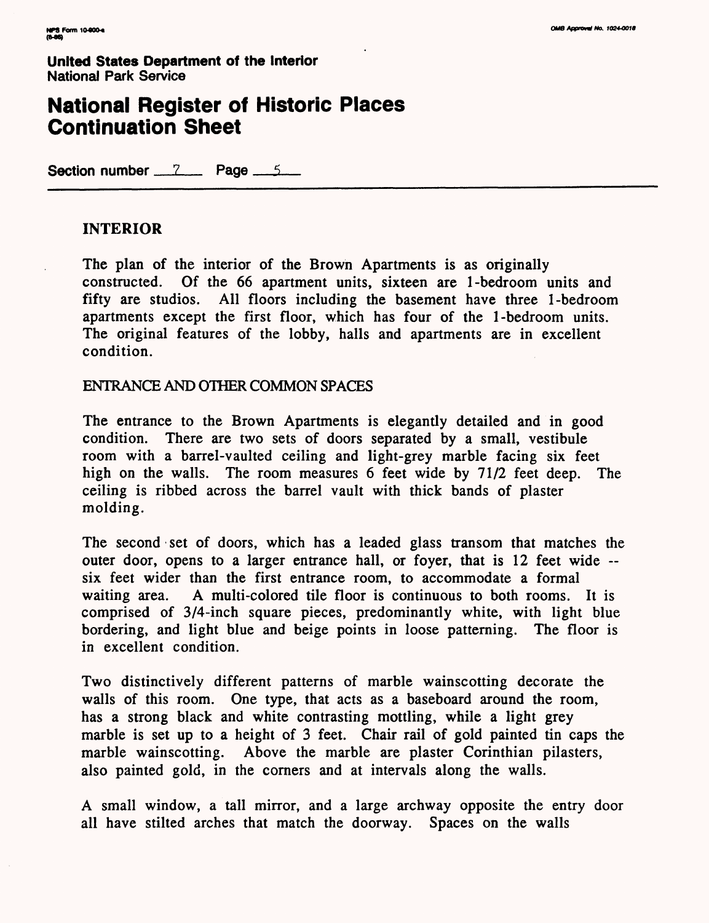## **National Register of Historic Places Continuation Sheet**

**Section number 7 Page 5** 

### **INTERIOR**

The plan of the interior of the Brown Apartments is as originally constructed. Of the 66 apartment units, sixteen are 1-bedroom units and All floors including the basement have three 1-bedroom apartments except the first floor, which has four of the 1-bedroom units. The original features of the lobby, halls and apartments are in excellent condition.

ENTRANCE AND OTHER COMMON SPACES

The entrance to the Brown Apartments is elegantly detailed and in good condition. There are two sets of doors separated by a small, vestibule room with a barrel-vaulted ceiling and light-grey marble facing six feet high on the walls. The room measures 6 feet wide by 71/2 feet deep. The ceiling is ribbed across the barrel vault with thick bands of plaster molding.

The second set of doors, which has a leaded glass transom that matches the outer door, opens to a larger entrance hall, or foyer, that is 12 feet wide -six feet wider than the first entrance room, to accommodate a formal waiting area. A multi-colored tile floor is continuous to both rooms. It is comprised of 3/4-inch square pieces, predominantly white, with light blue bordering, and light blue and beige points in loose patterning. The floor is in excellent condition.

Two distinctively different patterns of marble wainscotting decorate the walls of this room. One type, that acts as a baseboard around the room, has a strong black and white contrasting mottling, while a light grey marble is set up to a height of 3 feet. Chair rail of gold painted tin caps the marble wainscotting. Above the marble are plaster Corinthian pilasters, also painted gold, in the corners and at intervals along the walls.

A small window, a tall mirror, and a large archway opposite the entry door all have stilted arches that match the doorway. Spaces on the walls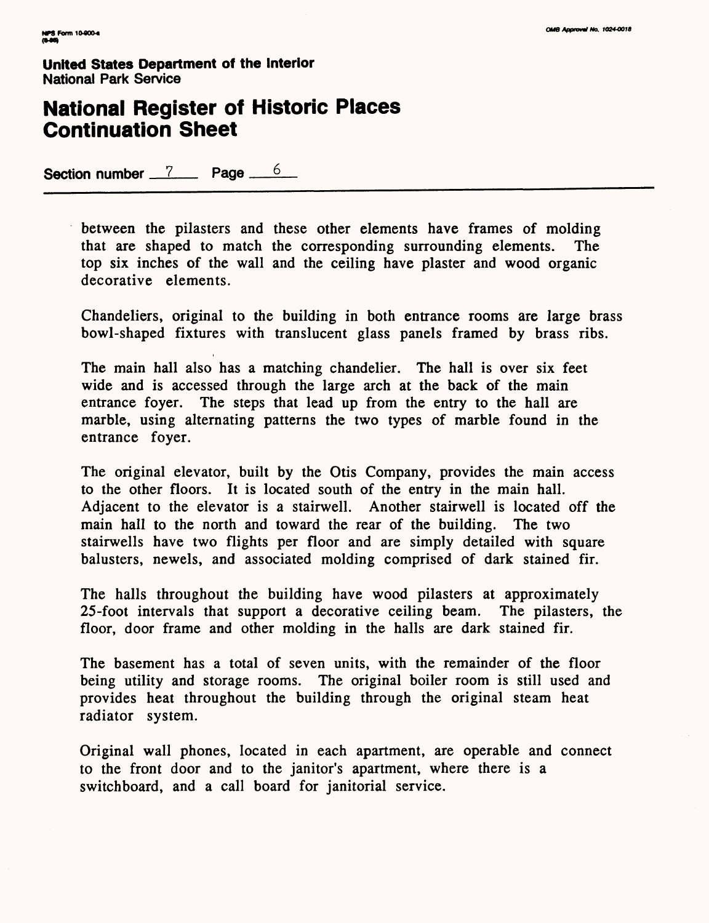# **National Register of Historic Places Continuation Sheet**

Section number 7 Page 6

between the pilasters and these other elements have frames of molding that are shaped to match the corresponding surrounding elements. The top six inches of the wall and the ceiling have plaster and wood organic decorative elements.

Chandeliers, original to the building in both entrance rooms are large brass bowl-shaped fixtures with translucent glass panels framed by brass ribs.

The main hall also has a matching chandelier. The hall is over six feet wide and is accessed through the large arch at the back of the main entrance foyer. The steps that lead up from the entry to the hall are marble, using alternating patterns the two types of marble found in the entrance foyer.

The original elevator, built by the Otis Company, provides the main access to the other floors. It is located south of the entry in the main hall. Adjacent to the elevator is a stairwell. Another stairwell is located off the main hall to the north and toward the rear of the building. The two stairwells have two flights per floor and are simply detailed with square balusters, newels, and associated molding comprised of dark stained fir.

The halls throughout the building have wood pilasters at approximately 25-foot intervals that support a decorative ceiling beam. The pilasters, the floor, door frame and other molding in the halls are dark stained fir.

The basement has a total of seven units, with the remainder of the floor being utility and storage rooms. The original boiler room is still used and provides heat throughout the building through the original steam heat radiator system.

Original wall phones, located in each apartment, are operable and connect to the front door and to the janitor's apartment, where there is a switchboard, and a call board for janitorial service.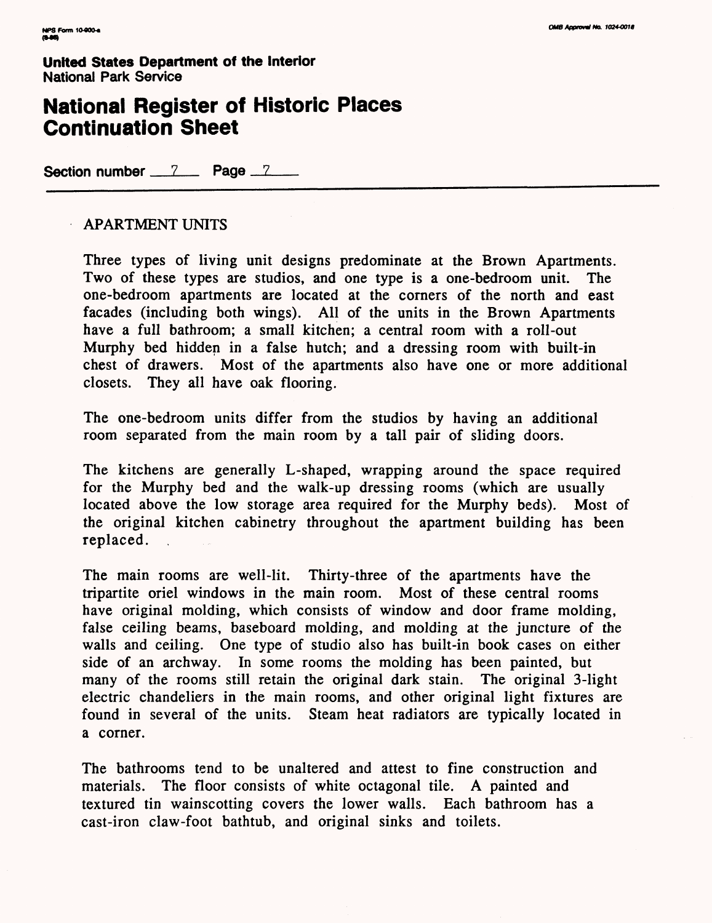## **National Register of Historic Places Continuation Sheet**

**Section number 7 Page 7** 

### APARTMENT UNITS

Three types of living unit designs predominate at the Brown Apartments. Two of these types are studios, and one type is a one-bedroom unit. The one-bedroom apartments are located at the corners of the north and east facades (including both wings). All of the units in the Brown Apartments have a full bathroom; a small kitchen; a central room with a roll-out Murphy bed hidden in a false hutch; and a dressing room with built-in chest of drawers. Most of the apartments also have one or more additional closets. They all have oak flooring.

The one-bedroom units differ from the studios by having an additional room separated from the main room by a tall pair of sliding doors.

The kitchens are generally L-shaped, wrapping around the space required for the Murphy bed and the walk-up dressing rooms (which are usually located above the low storage area required for the Murphy beds). Most of the original kitchen cabinetry throughout the apartment building has been replaced.

The main rooms are well-lit. Thirty-three of the apartments have the tripartite oriel windows in the main room. Most of these central rooms have original molding, which consists of window and door frame molding, false ceiling beams, baseboard molding, and molding at the juncture of the walls and ceiling. One type of studio also has built-in book cases on either side of an archway. In some rooms the molding has been painted, but many of the rooms still retain the original dark stain. The original 3-light electric chandeliers in the main rooms, and other original light fixtures are found in several of the units. Steam heat radiators are typically located in a corner.

The bathrooms tend to be unaltered and attest to fine construction and materials. The floor consists of white octagonal tile. A painted and textured tin wainscotting covers the lower walls. Each bathroom has a cast-iron claw-foot bathtub, and original sinks and toilets.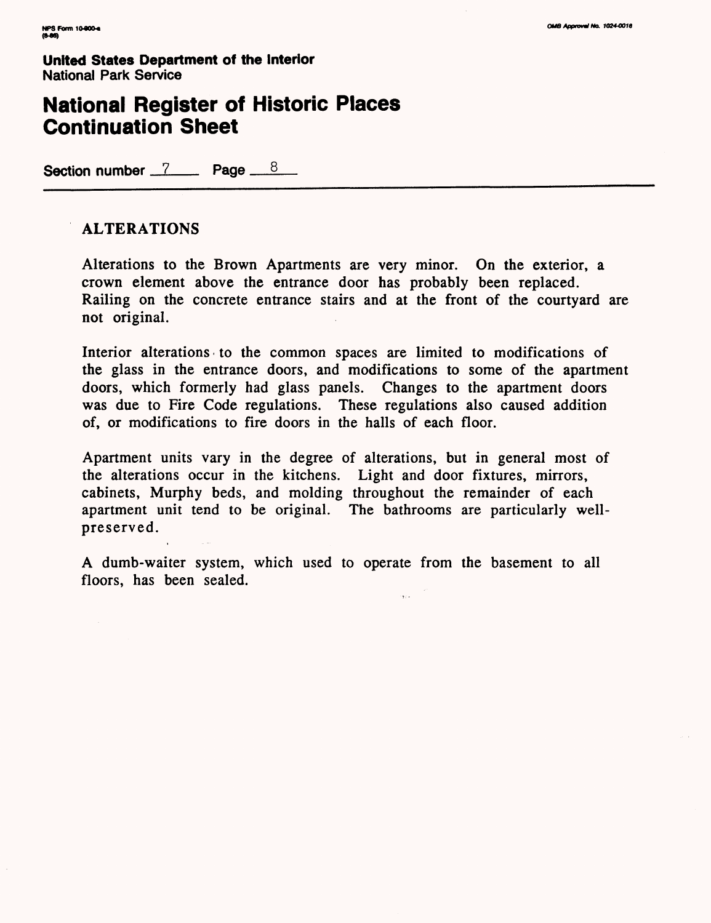## **National Register of Historic Places Continuation Sheet**

Section number 7 Page  $8$ 

### **ALTERATIONS**

Alterations to the Brown Apartments are very minor. On the exterior, a crown element above the entrance door has probably been replaced. Railing on the concrete entrance stairs and at the front of the courtyard are not original.

Interior alterations to the common spaces are limited to modifications of the glass in the entrance doors, and modifications to some of the apartment doors, which formerly had glass panels. Changes to the apartment doors was due to Fire Code regulations. These regulations also caused addition of, or modifications to fire doors in the halls of each floor.

Apartment units vary in the degree of alterations, but in general most of the alterations occur in the kitchens. Light and door fixtures, mirrors, cabinets, Murphy beds, and molding throughout the remainder of each apartment unit tend to be original. The bathrooms are particularly wellpreserved.

A dumb-waiter system, which used to operate from the basement to all floors, has been sealed.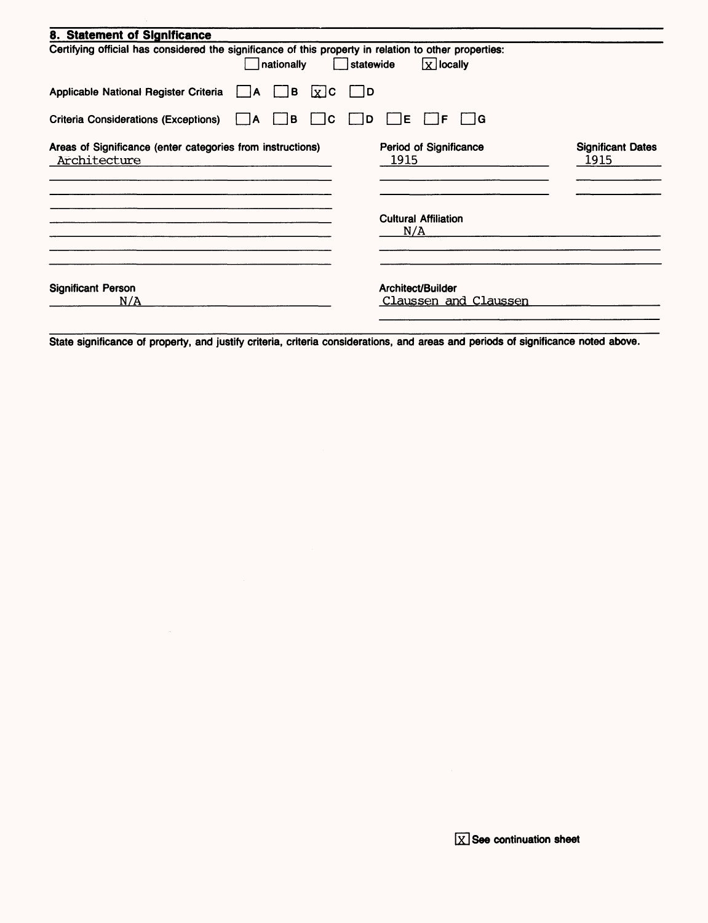| 8. Statement of Significance                                                                                        |                                            |                                  |
|---------------------------------------------------------------------------------------------------------------------|--------------------------------------------|----------------------------------|
| Certifying official has considered the significance of this property in relation to other properties:<br>nationally | $x$ locally<br>statewide                   |                                  |
| Applicable National Register Criteria<br>JВ<br>$x$ <sub>c</sub><br>A                                                | 1D                                         |                                  |
| lC.<br><b>Criteria Considerations (Exceptions)</b><br>B<br>$\vert$ $\vert$ A                                        | ∤G<br>E<br>D<br>ΙF                         |                                  |
| Areas of Significance (enter categories from instructions)<br>Architecture                                          | Period of Significance<br>1915             | <b>Significant Dates</b><br>1915 |
|                                                                                                                     | <b>Cultural Affiliation</b><br>N/A         |                                  |
| <b>Significant Person</b><br>N/A                                                                                    | Architect/Builder<br>Claussen and Claussen |                                  |

State significance of property, and justify criteria, criteria considerations, and areas and periods of significance noted above.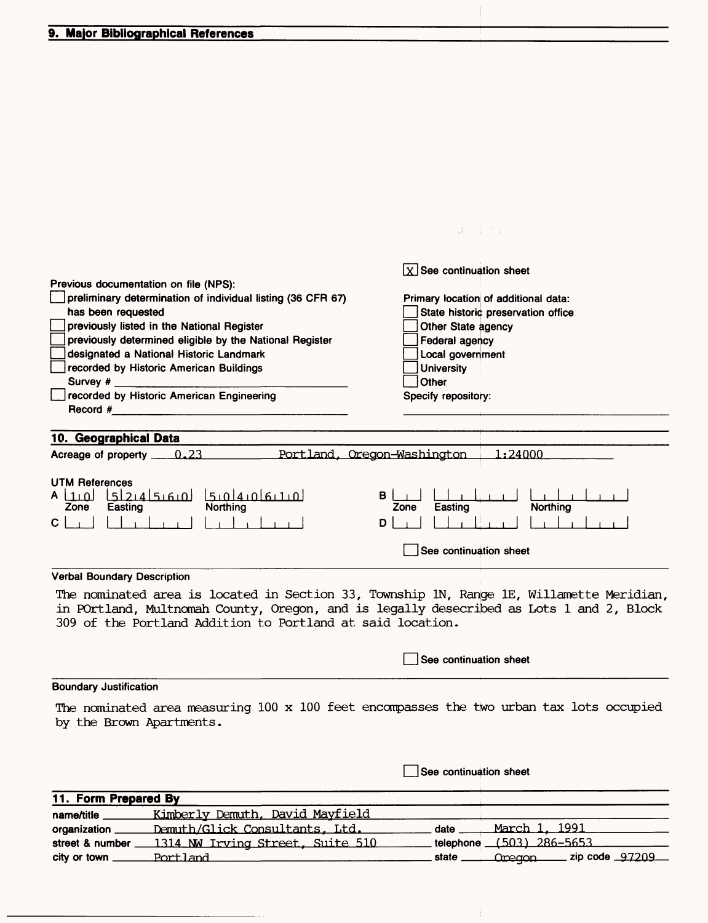#### **9. Major Bibliographical References**

|                                                                                                                                                                                                                                                                                                                                                                                                      | 調べ (年) たまし                                                                                                                                                                                                                               |
|------------------------------------------------------------------------------------------------------------------------------------------------------------------------------------------------------------------------------------------------------------------------------------------------------------------------------------------------------------------------------------------------------|------------------------------------------------------------------------------------------------------------------------------------------------------------------------------------------------------------------------------------------|
| Previous documentation on file (NPS):<br>preliminary determination of individual listing (36 CFR 67)<br>has been requested<br>previously listed in the National Register<br>previously determined eligible by the National Register<br>designated a National Historic Landmark<br>recorded by Historic American Buildings<br>Survey $#$ ___<br>recorded by Historic American Engineering<br>Record # | $\boxed{\text{X}}$ See continuation sheet<br>Primary location of additional data:<br>State historic preservation office<br>Other State agency<br>Federal agency<br>Local government<br><b>University</b><br>Other<br>Specify repository: |
| 10. Geographical Data<br>Acreage of property 23                                                                                                                                                                                                                                                                                                                                                      | 1:24000<br>Portland, Oregon-Washington                                                                                                                                                                                                   |
| <b>UTM References</b><br>لفيديقاه بهلقيع الهبهيجلهبطاء<br>$A \mid 1 \mid 0$<br>Easting<br><b>Northing</b><br>Zone<br>C.                                                                                                                                                                                                                                                                              | B.<br>Northing<br>Easting<br>Zone<br>D<br>See continuation sheet                                                                                                                                                                         |
|                                                                                                                                                                                                                                                                                                                                                                                                      |                                                                                                                                                                                                                                          |
| <b>Verbal Boundary Description</b><br>309 of the Portland Addition to Portland at said location.                                                                                                                                                                                                                                                                                                     | The nominated area is located in Section 33, Township 1N, Range 1E, Willamette Meridian,<br>in POrtland, Multnomah County, Oregon, and is legally desecribed as Lots 1 and 2, Block                                                      |
|                                                                                                                                                                                                                                                                                                                                                                                                      | See continuation sheet                                                                                                                                                                                                                   |

#### **Boundary Justification**

The nominated area measuring 100 x 100 feet encompasses the two urban tax lots occupied by the Brown Apartments.

**I See continuation sheet** 

Ť.

### **11. Form Prepared By**

| name/title      | <u>Kimberly Demuth, David Mayfield</u> |      |                                    |  |
|-----------------|----------------------------------------|------|------------------------------------|--|
| organization    | Demuth/Glick Consultants, Ltd.         | date | <u>March 1, 1991</u>               |  |
| street & number | 1314 NW Irving Street, Suite 510       |      | telephone (503) 286-5653           |  |
| city or town    | Portland                               |      | state <u>Cregon</u> zip code 97209 |  |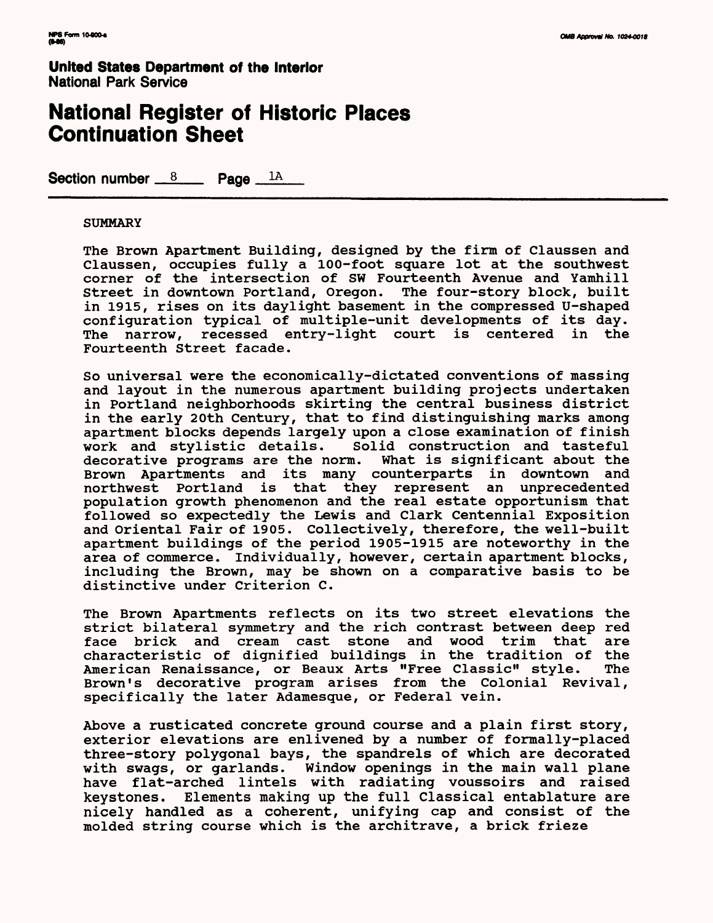## **National Register of Historic Places Continuation Sheet**

Section number  $8 \text{ Paq}e^{-1A}$ 

#### **SUMMARY**

The Brown Apartment Building, designed by the firm of Claussen and Claussen, occupies fully a 100-foot square lot at the southwest corner of the intersection of SW Fourteenth Avenue and Yamhill Street in downtown Portland, Oregon. The four-story block, built in 1915, rises on its daylight basement in the compressed U-shaped configuration typical of multiple-unit developments of its day. The narrow, recessed entry-light court is centered in the Fourteenth Street facade.

So universal were the economically-dictated conventions of massing and layout in the numerous apartment building projects undertaken in Portland neighborhoods skirting the central business district in the early 20th Century, that to find distinguishing marks among apartment blocks depends largely upon a close examination of finish<br>work and stylistic details. Solid construction and tasteful Solid construction and tasteful<br>rm. What is significant about the decorative programs are the norm. Brown Apartments and its many counterparts in downtown and northwest Portland is that they represent an unprecedented population growth phenomenon and the real estate opportunism that followed so expectedly the Lewis and Clark Centennial Exposition and Oriental Fair of 1905. Collectively, therefore, the well-built apartment buildings of the period 1905-1915 are noteworthy in the area of commerce. Individually, however, certain apartment blocks, including the Brown, may be shown on a comparative basis to be distinctive under Criterion C.

The Brown Apartments reflects on its two street elevations the strict bilateral symmetry and the rich contrast between deep red face brick and cream cast stone and wood trim that are characteristic of dignified buildings in the tradition of the American Renaissance, or Beaux Arts "Free Classic" style. Brown's decorative program arises from the Colonial Revival, specifically the later Adamesque, or Federal vein.

Above a rusticated concrete ground course and a plain first story, exterior elevations are enlivened by a number of formally-placed three-story polygonal bays, the spandrels of which are decorated with swags, or garlands. Window openings in the main wall plane have flat-arched lintels with radiating voussoirs and raised keystones. Elements making up the full Classical entablature are nicely handled as a coherent, unifying cap and consist of the molded string course which is the architrave, a brick frieze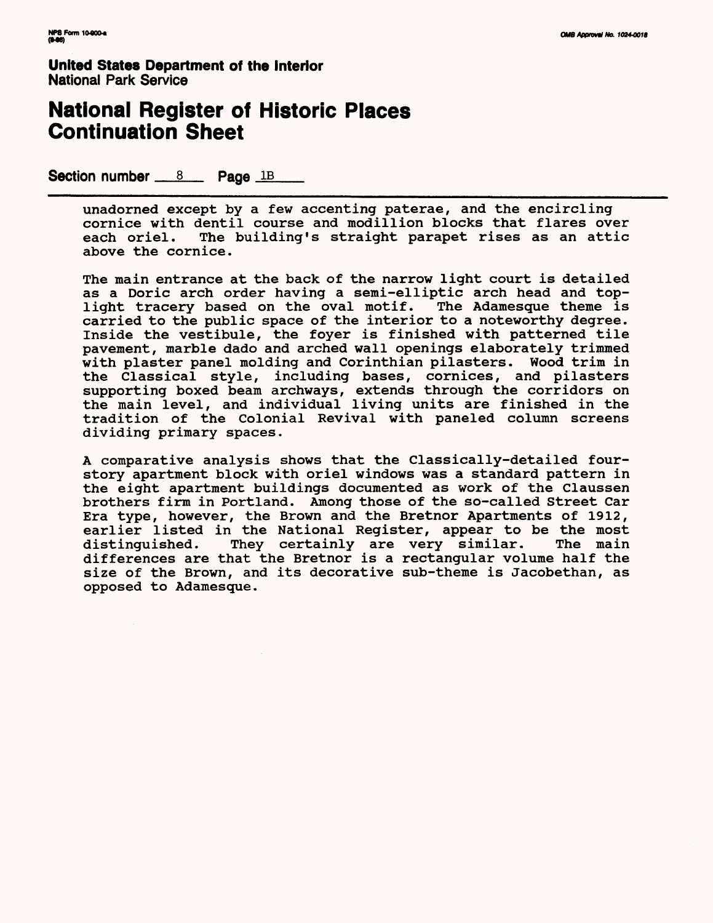## **National Register of Historic Places Continuation Sheet**

Section number  $8 \text{ m}$  Page  $1B$ 

unadorned except by a few accenting paterae, and the encircling cornice with dentil course and modillion blocks that flares over each oriel. The building's straight parapet rises as an attic above the cornice.

The main entrance at the back of the narrow light court is detailed as a Doric arch order having a semi-elliptic arch head and toplight tracery based on the oval motif. The Adamesque theme is carried to the public space of the interior to a noteworthy degree. Inside the vestibule, the foyer is finished with patterned tile pavement, marble dado and arched wall openings elaborately trimmed with plaster panel molding and Corinthian pilasters. Wood trim in the Classical style, including bases, cornices, and pilasters supporting boxed beam archways, extends through the corridors on the main level, and individual living units are finished in the tradition of the Colonial Revival with paneled column screens dividing primary spaces.

A comparative analysis shows that the Classically-detailed fourstory apartment block with oriel windows was a standard pattern in the eight apartment buildings documented as work of the Claussen brothers firm in Portland. Among those of the so-called Street Car Era type, however, the Brown and the Bretnor Apartments of 1912, earlier listed in the National Register, appear to be the most distinguished. They certainly are very similar. The main differences are that the Bretnor is a rectangular volume half the size of the Brown, and its decorative sub-theme is Jacobethan, as opposed to Adamesque.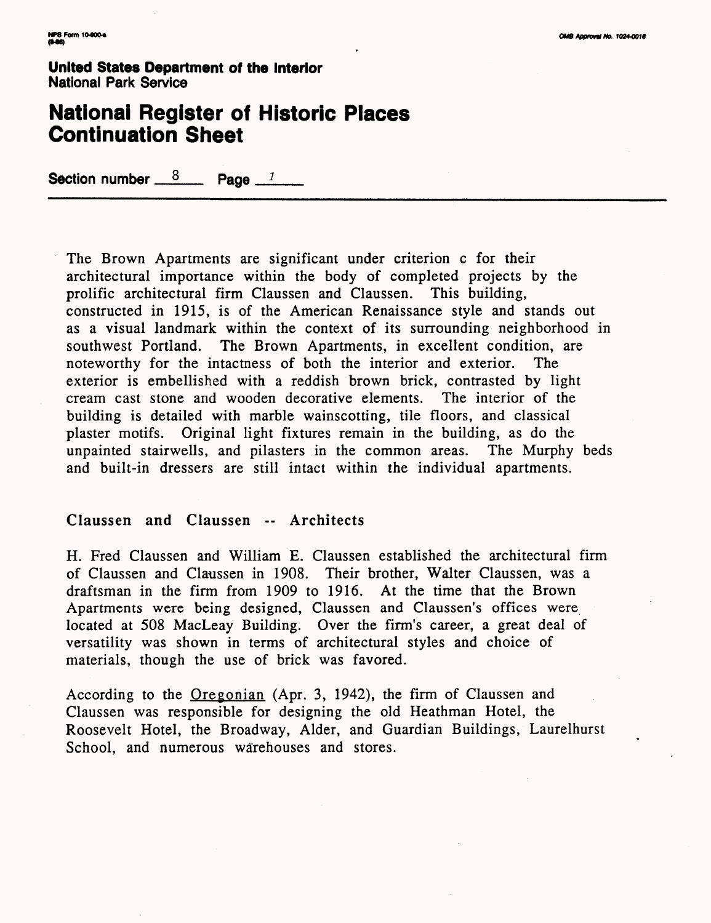### **National Register of Historic Places Continuation Sheet**

Section number  $\frac{8}{2}$  Page  $\frac{1}{2}$ 

The Brown Apartments are significant under criterion c for their architectural importance within the body of completed projects by the prolific architectural firm Claussen and Claussen. This building, constructed in 1915, is of the American Renaissance style and stands out as a visual landmark within the context of its surrounding neighborhood in southwest Portland. The Brown Apartments, in excellent condition, are noteworthy for the intactness of both the interior and exterior. The exterior is embellished with a reddish brown brick, contrasted by light cream cast stone and wooden decorative elements. The interior of the building is detailed with marble wainscotting, tile floors, and classical plaster motifs. Original light fixtures remain in the building, as do the unpainted stairwells, and pilasters in the common areas. The Murphy beds and built-in dressers are still intact within the individual apartments.

#### Claussen and Claussen -- Architects

H. Fred Claussen and William E. Claussen established the architectural firm of Claussen and Claussen in 1908. Their brother, Walter Claussen, was a draftsman in the firm from 1909 to 1916. At the time that the Brown Apartments were being designed, Claussen and Claussen's offices were located at 508 MacLeay Building. Over the firm's career, a great deal of versatility was shown in terms of architectural styles and choice of materials, though the use of brick was favored.

According to the Oregonian (Apr. 3, 1942), the firm of Claussen and Claussen was responsible for designing the old Heathman Hotel, the Roosevelt Hotel, the Broadway, Alder, and Guardian Buildings, Laurelhurst School, and numerous warehouses and stores.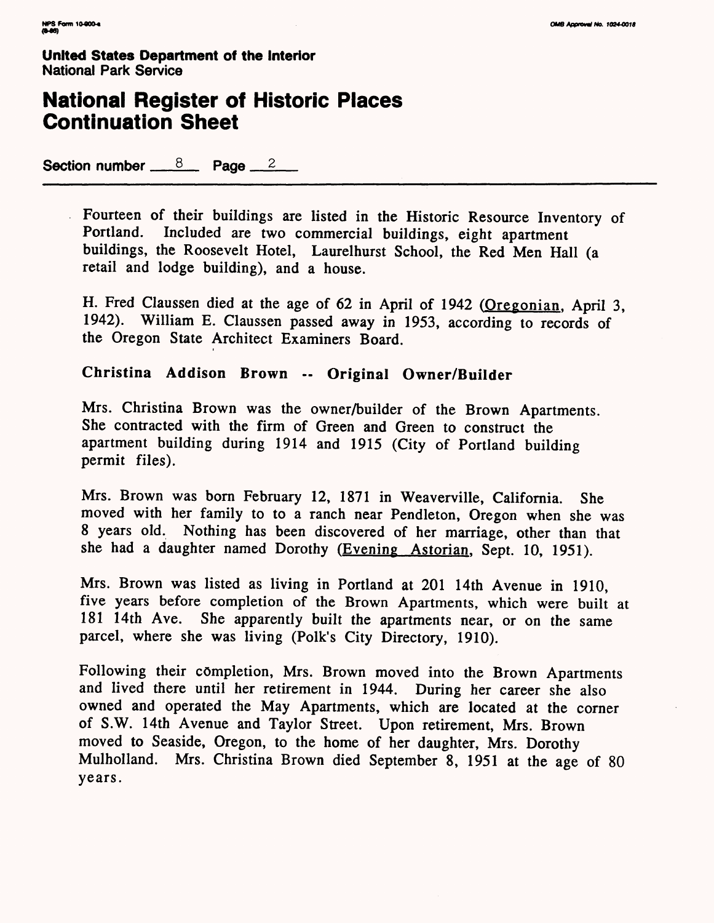## **National Register of Historic Places Continuation Sheet**

Section number  $8 \times 8$  Page  $2 \times 2$ 

Fourteen of their buildings are listed in the Historic Resource Inventory of Portland. Included are two commercial buildings eight anartment Included are two commercial buildings, eight apartment buildings, the Roosevelt Hotel, Laurelhurst School, the Red Men Hall (a retail and lodge building), and a house.

H. Fred Claussen died at the age of 62 in April of 1942 (Oregonian. April 3, 1942). William E. Claussen passed away in 1953, according to records of the Oregon State Architect Examiners Board.

### **Christina Addison Brown -- Original Owner/Builder**

Mrs. Christina Brown was the owner/builder of the Brown Apartments. She contracted with the firm of Green and Green to construct the apartment building during 1914 and 1915 (City of Portland building permit files).

Mrs. Brown was born February 12, 1871 in Weaverville, California. She moved with her family to to a ranch near Pendleton, Oregon when she was 8 years old. Nothing has been discovered of her marriage, other than that she had a daughter named Dorothy (Evening Astorian, Sept. 10, 1951).

Mrs. Brown was listed as living in Portland at 201 14th Avenue in 1910, five years before completion of the Brown Apartments, which were built at 181 14th Ave. She apparently built the apartments near, or on the same parcel, where she was living (Polk's City Directory, 1910).

Following their completion, Mrs. Brown moved into the Brown Apartments and lived there until her retirement in 1944. During her career she also owned and operated the May Apartments, which are located at the corner of S.W. 14th Avenue and Taylor Street. Upon retirement, Mrs. Brown moved to Seaside, Oregon, to the home of her daughter, Mrs. Dorothy Mulholland. Mrs. Christina Brown died September 8, 1951 at the age of 80 years.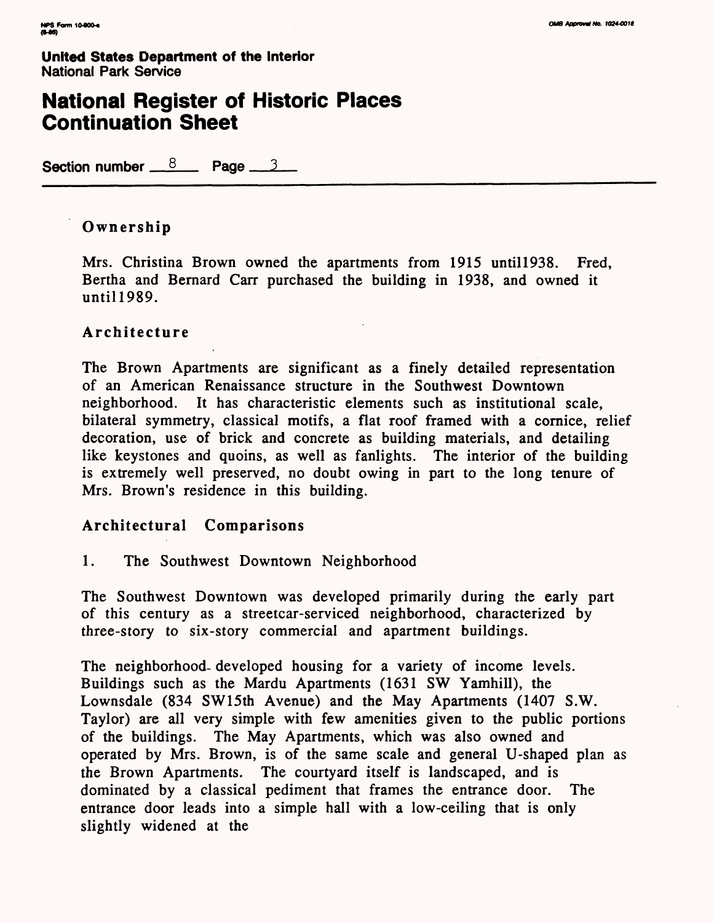## **National Register of Historic Places Continuation Sheet**

**Section number**  $8$  **Page 3** 

### **Ownership**

Mrs. Christina Brown owned the apartments from 1915 until 1938. Fred, Bertha and Bernard Carr purchased the building in 1938, and owned it until 1989.

### **Architecture**

The Brown Apartments are significant as a finely detailed representation of an American Renaissance structure in the Southwest Downtown neighborhood. It has characteristic elements such as institutional scale, bilateral symmetry, classical motifs, a flat roof framed with a cornice, relief decoration, use of brick and concrete as building materials, and detailing like keystones and quoins, as well as fanlights. The interior of the building is extremely well preserved, no doubt owing in part to the long tenure of Mrs. Brown's residence in this building.

### **Architectural Comparisons**

1. The Southwest Downtown Neighborhood

The Southwest Downtown was developed primarily during the early part of this century as a streetcar-serviced neighborhood, characterized by three-story to six-story commercial and apartment buildings.

The neighborhood- developed housing for a variety of income levels. Buildings such as the Mardu Apartments (1631 SW Yamhill), the Lownsdale (834 SW15th Avenue) and the May Apartments (1407 S.W. Taylor) are all very simple with few amenities given to the public portions of the buildings. The May Apartments, which was also owned and operated by Mrs. Brown, is of the same scale and general U-shaped plan as the Brown Apartments. The courtyard itself is landscaped, and is dominated by a classical pediment that frames the entrance door. The entrance door leads into a simple hall with a low-ceiling that is only slightly widened at the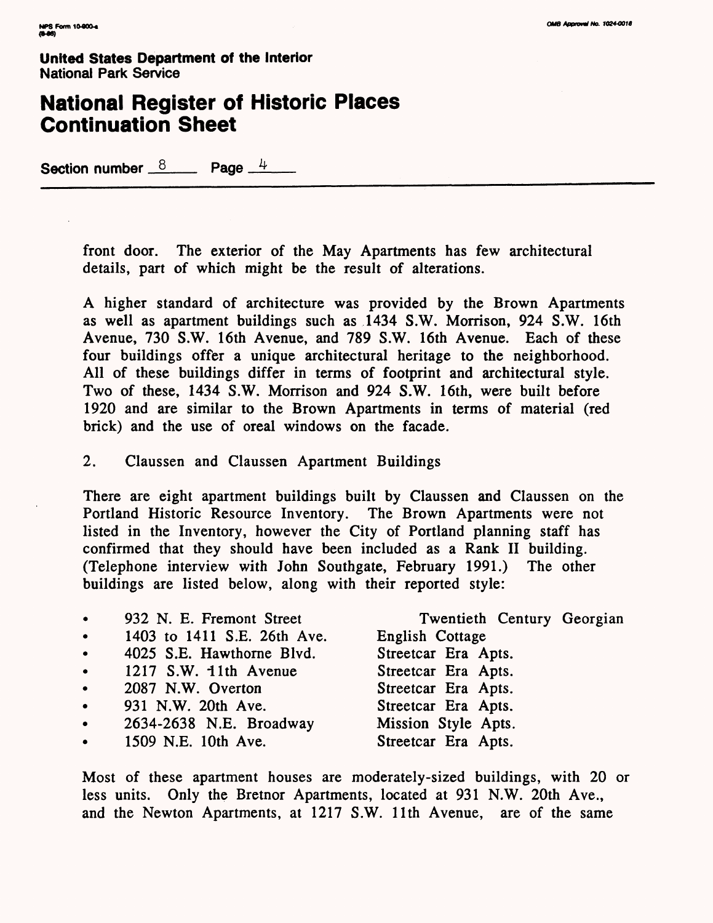# **National Register of Historic Places Continuation Sheet**

**Section number**  $\frac{8}{2}$  **Page**  $\frac{4}{2}$ 

front door. The exterior of the May Apartments has few architectural details, part of which might be the result of alterations.

A higher standard of architecture was provided by the Brown Apartments as well as apartment buildings such as 1434 S.W. Morrison, 924 S.W. 16th Avenue, 730 S.W. 16th Avenue, and 789 S.W. 16th Avenue. Each of these four buildings offer a unique architectural heritage to the neighborhood. All of these buildings differ in terms of footprint and architectural style. Two of these, 1434 S.W. Morrison and 924 S.W. 16th, were built before 1920 and are similar to the Brown Apartments in terms of material (red brick) and the use of oreal windows on the facade.

2. Claussen and Claussen Apartment Buildings

There are eight apartment buildings built by Claussen and Claussen on the Portland Historic Resource Inventory. The Brown Apartments were not listed in the Inventory, however the City of Portland planning staff has confirmed that they should have been included as a Rank II building. (Telephone interview with John Southgate, February 1991.) The other buildings are listed below, along with their reported style:

| $\bullet$ | 932 N. E. Fremont Street    | Twentieth Century Georgian |
|-----------|-----------------------------|----------------------------|
| $\bullet$ | 1403 to 1411 S.E. 26th Ave. | English Cottage            |
| $\bullet$ | 4025 S.E. Hawthorne Blvd.   | Streetcar Era Apts.        |
| $\bullet$ | 1217 S.W. 11th Avenue       | Streetcar Era Apts.        |
| $\bullet$ | 2087 N.W. Overton           | Streetcar Era Apts.        |
| $\bullet$ | 931 N.W. 20th Ave.          | Streetcar Era Apts.        |
| $\bullet$ | 2634-2638 N.E. Broadway     | Mission Style Apts.        |
|           | • 1509 N.E. 10th Ave.       | Streetcar Era Apts.        |
|           |                             |                            |

Most of these apartment houses are moderately-sized buildings, with 20 or less units. Only the Bretnor Apartments, located at 931 N.W. 20th Ave., and the Newton Apartments, at 1217 S.W. Ilth Avenue, are of the same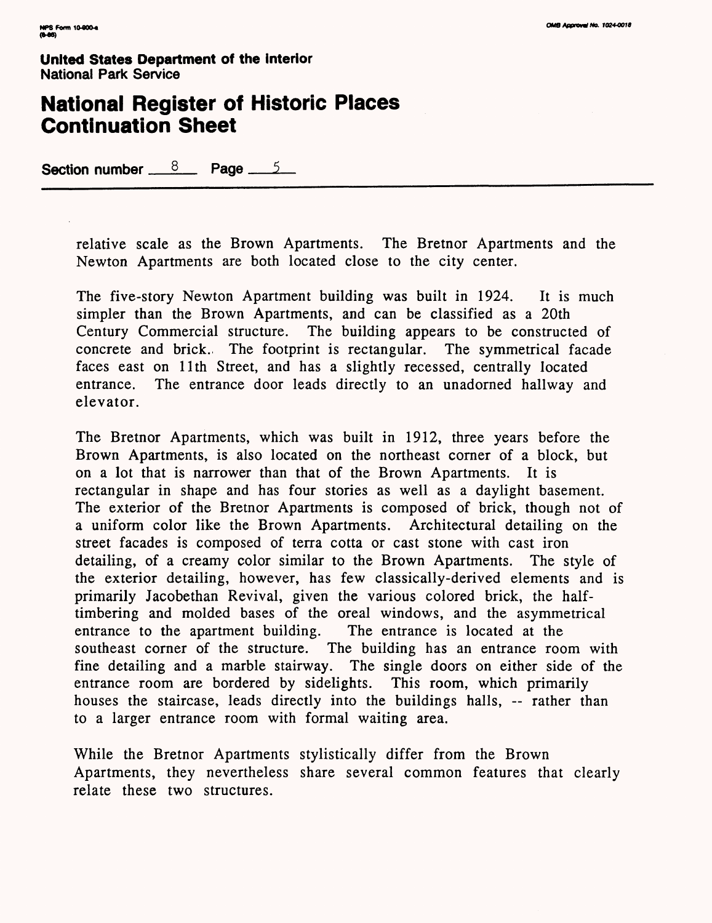## **National Register of Historic Places Continuation Sheet**

Section number  $8$  Page 5

relative scale as the Brown Apartments. The Bretnor Apartments and the Newton Apartments are both located close to the city center.

The five-story Newton Apartment building was built in 1924. It is much simpler than the Brown Apartments, and can be classified as a 20th Century Commercial structure. The building appears to be constructed of concrete and brick., The footprint is rectangular. The symmetrical facade faces east on llth Street, and has a slightly recessed, centrally located entrance. The entrance door leads directly to an unadorned hallway and elevator.

The Bretnor Apartments, which was built in 1912, three years before the Brown Apartments, is also located on the northeast corner of a block, but on a lot that is narrower than that of the Brown Apartments. It is rectangular in shape and has four stories as well as a daylight basement. The exterior of the Bretnor Apartments is composed of brick, though not of a uniform color like the Brown Apartments. Architectural detailing on the street facades is composed of terra cotta or cast stone with cast iron detailing, of a creamy color similar to the Brown Apartments. The style of the exterior detailing, however, has few classically-derived elements and is primarily Jacobethan Revival, given the various colored brick, the halftimbering and molded bases of the oreal windows, and the asymmetrical entrance to the apartment building. The entrance is located at the southeast corner of the structure. The building has an entrance room with fine detailing and a marble stairway. The single doors on either side of the entrance room are bordered by sidelights. This room, which primarily houses the staircase, leads directly into the buildings halls, — rather than to a larger entrance room with formal waiting area.

While the Bretnor Apartments stylistically differ from the Brown Apartments, they nevertheless share several common features that clearly relate these two structures.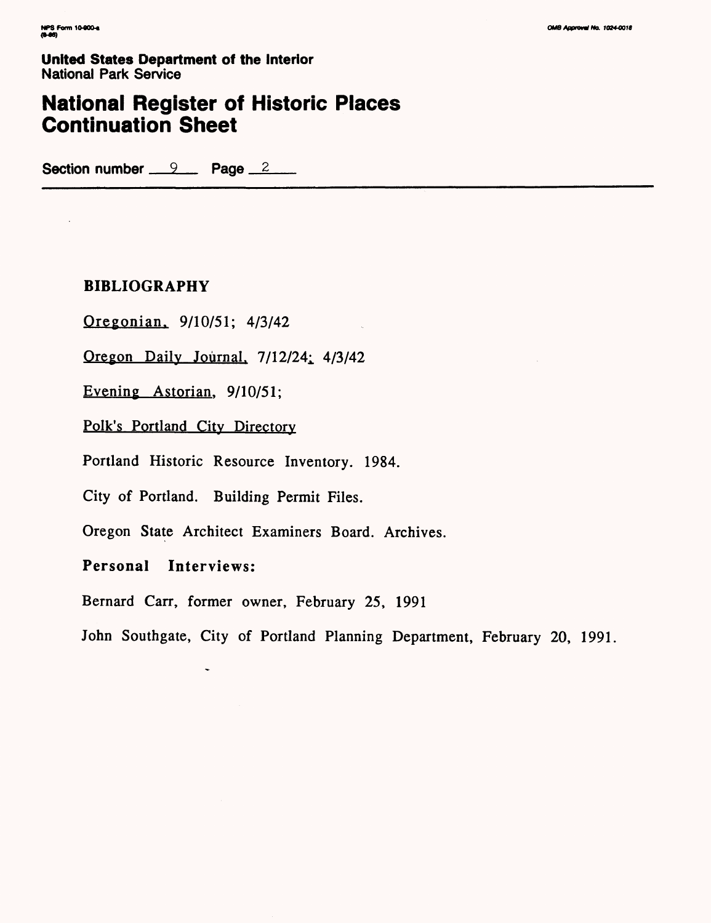$\mathcal{L}$ 

**United States Department of the Interior**  National Park Service

# **National Register of Historic Places Continuation Sheet**

Section number 9 Page 2

### **BIBLIOGRAPHY**

Oregonian. 9/10/51; 4/3/42

Oregon Daily Journal,  $7/12/24$ ;  $4/3/42$ 

Evening Astorian. 9/10/51;

Polk's Portland City Directory

Portland Historic Resource Inventory. 1984.

City of Portland. Building Permit Files.

 $\tilde{\phantom{a}}$ 

Oregon State Architect Examiners Board. Archives.

**Personal Interviews:**

Bernard Carr, former owner, February 25, 1991

John Southgate, City of Portland Planning Department, February 20, 1991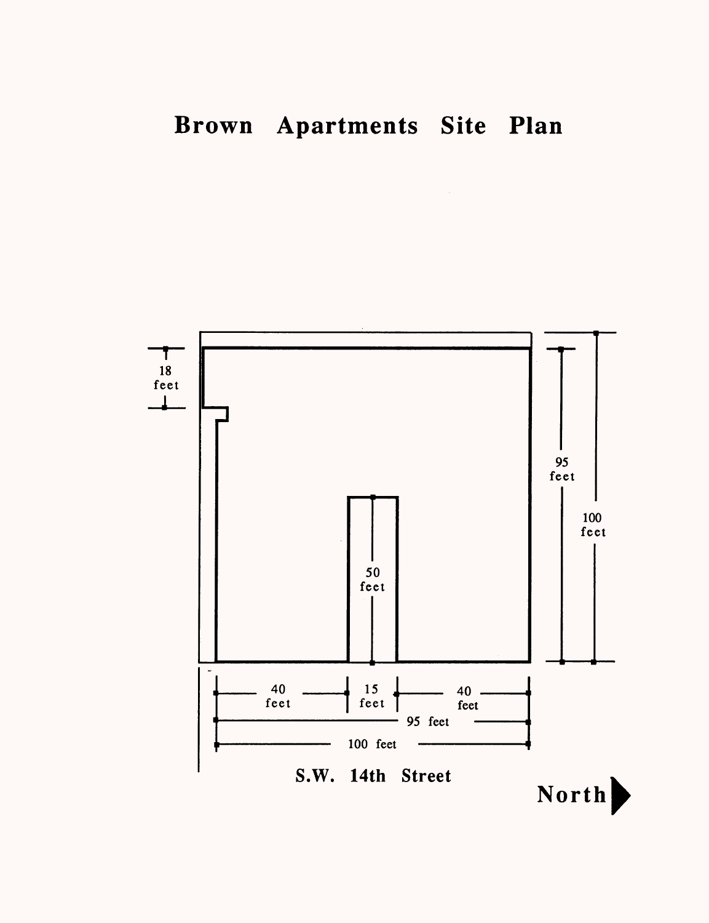